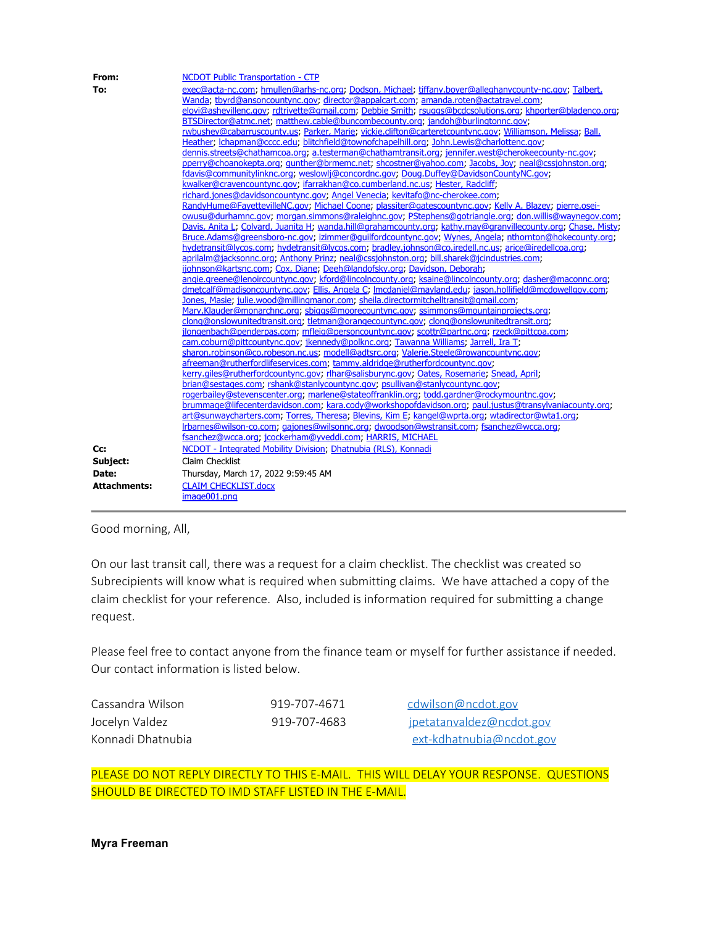| From:               | <b>NCDOT Public Transportation - CTP</b>                                                                      |
|---------------------|---------------------------------------------------------------------------------------------------------------|
| To:                 | exec@acta-nc.com; hmullen@arhs-nc.org; Dodson, Michael; tiffany.boyer@alleghanycounty-nc.gov; Talbert,        |
|                     | Wanda, tbyrd@ansoncountync.gov; director@appalcart.com; amanda.roten@actatravel.com;                          |
|                     | elovi@ashevillenc.gov; rdtrivette@gmail.com; Debbie Smith; rsuggs@bcdcsolutions.org; khporter@bladenco.org;   |
|                     | BTSDirector@atmc.net; matthew.cable@buncombecounty.org; jandoh@burlingtonnc.gov;                              |
|                     | rwbushey@cabarruscounty.us; Parker, Marie; vickie.clifton@carteretcountync.gov; Williamson, Melissa, Ball,    |
|                     | Heather; Ichapman@cccc.edu; blitchfield@townofchapelhill.org; John.Lewis@charlottenc.gov;                     |
|                     | dennis.streets@chathamcoa.org; a.testerman@chathamtransit.org; jennifer.west@cherokeecounty-nc.gov;           |
|                     | pperry@choanokepta.org; qunther@brmemc.net; shcostner@yahoo.com; Jacobs, Joy; neal@cssjohnston.org;           |
|                     | fdavis@communitylinknc.org; weslowli@concordnc.gov; Doug.Duffey@DavidsonCountyNC.gov;                         |
|                     | kwalker@cravencountync.gov; ifarrakhan@co.cumberland.nc.us; Hester, Radcliff;                                 |
|                     | richard.jones@davidsoncountync.gov; Angel Venecia; kevitafo@nc-cherokee.com;                                  |
|                     | RandyHume@FayettevilleNC.gov; Michael Coone; plassiter@gatescountync.gov; Kelly A. Blazey; pierre.osei-       |
|                     | owusu@durhamnc.gov; morgan.simmons@raleighnc.gov; PStephens@gotriangle.org; don.willis@waynegov.com;          |
|                     | Davis, Anita L; Colvard, Juanita H; wanda.hill@grahamcounty.org; kathy.may@granvillecounty.org; Chase, Misty; |
|                     | Bruce.Adams@greensboro-nc.gov; izimmer@guilfordcountync.gov; Wynes, Angela; nthornton@hokecounty.org;         |
|                     | hydetransit@lycos.com; hydetransit@lycos.com; bradley.johnson@co.iredell.nc.us; arice@iredellcoa.org;         |
|                     | aprilalm@jacksonnc.org; Anthony Prinz; neal@cssjohnston.org; bill.sharek@jcindustries.com;                    |
|                     | ijohnson@kartsnc.com; Cox, Diane; Deeh@landofsky.org; Davidson, Deborah;                                      |
|                     | angie.greene@lenoircountync.gov; kford@lincolncounty.org; ksaine@lincolncounty.org; dasher@maconnc.org;       |
|                     | dmetcalf@madisoncountync.gov; Ellis, Angela C; Imcdaniel@mayland.edu; jason.hollifield@mcdowellgov.com;       |
|                     | Jones, Masie; julie.wood@millingmanor.com; sheila.directormitchelltransit@gmail.com;                          |
|                     | Mary.Klauder@monarchnc.org; sbiggs@moorecountync.gov; ssimmons@mountainprojects.org;                          |
|                     | clong@onslowunitedtransit.org; tletman@orangecountync.gov; clong@onslowunitedtransit.org;                     |
|                     | jlongenbach@penderpas.com; mfleig@personcountync.gov; scottr@partnc.org; rzeck@pittcoa.com;                   |
|                     | cam.coburn@pittcountync.gov; jkennedy@polknc.org; Tawanna Williams; Jarrell, Ira T;                           |
|                     | sharon.robinson@co.robeson.nc.us; modell@adtsrc.org; Valerie.Steele@rowancountync.gov;                        |
|                     | afreeman@rutherfordlifeservices.com; tammy.aldridge@rutherfordcountync.gov;                                   |
|                     | kerry.giles@rutherfordcountync.gov; rlhar@salisburync.gov; Oates, Rosemarie; Snead, April;                    |
|                     | brian@sestages.com; rshank@stanlycountync.gov; psullivan@stanlycountync.gov;                                  |
|                     | rogerbailey@stevenscenter.org; marlene@stateoffranklin.org; todd.gardner@rockymountnc.gov;                    |
|                     | brummage@lifecenterdavidson.com; kara.cody@workshopofdavidson.org; paul.justus@transylvaniacounty.org;        |
|                     | art@sunwaycharters.com; Torres, Theresa; Blevins, Kim E; kangel@wprta.org; wtadirector@wta1.org;              |
|                     | Irbarnes@wilson-co.com; qajones@wilsonnc.org; dwoodson@wstransit.com; fsanchez@wcca.org;                      |
|                     | fsanchez@wcca.org; jcockerham@yveddi.com; HARRIS, MICHAEL                                                     |
| Cc:                 | NCDOT - Integrated Mobility Division: Dhatnubia (RLS), Konnadi                                                |
| Subject:            | Claim Checklist                                                                                               |
| Date:               | Thursday, March 17, 2022 9:59:45 AM                                                                           |
| <b>Attachments:</b> | <b>CLAIM CHECKLIST.docx</b>                                                                                   |
|                     | image001.png                                                                                                  |
|                     |                                                                                                               |

Good morning, All,

On our last transit call, there was a request for a claim checklist. The checklist was created so Subrecipients will know what is required when submitting claims. We have attached a copy of the claim checklist for your reference. Also, included is information required for submitting a change request.

Please feel free to contact anyone from the finance team or myself for further assistance if needed. Our contact information is listed below.

Cassandra Wilson 1919-707-4671 [cdwilson@ncdot.gov](mailto:cdwilson@ncdot.gov)

Jocelyn Valdez 1988 919-707-4683 [jpetatanvaldez@ncdot.gov](mailto:jpetatanvaldez@ncdot.gov) Konnadi Dhatnubia [ext-kdhatnubia@ncdot.gov](mailto:ext-kdhatnubia@ncdot.gov)

PLEASE DO NOT REPLY DIRECTLY TO THIS E-MAIL. THIS WILL DELAY YOUR RESPONSE. QUESTIONS SHOULD BE DIRECTED TO IMD STAFF LISTED IN THE E-MAIL.

**Myra Freeman**